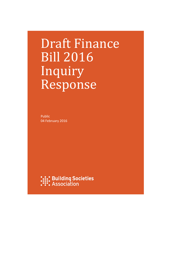# Draft Finance Bill 2016 Inquiry Response

Public 04 February 2016

**:.:: Building Societies**<br>:::: Association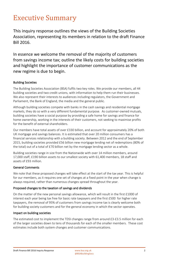## Executive Summary

This inquiry response outlines the views of the Building Societies Association, representing its members in relation to the draft Finance Bill 2016.

In essence we welcome the removal of the majority of customers from savings income tax; outline the likely costs for building societies and highlight the importance of customer communications as the new regime is due to begin.

#### Building Societies

The Building Societies Association (BSA) fulfils two key roles. We provide our members, all 44 building societies and two credit unions, with information to help them run their businesses. We also represent their interests to audiences including regulators, the Government and Parliament, the Bank of England, the media and the general public.

Although building societies compete with banks in the cash savings and residential mortgage markets, they do so with a very different fundamental purpose. As customer-owned mutuals, building societies have a social purpose by providing a safe home for savings and finance for home ownership, working in the interests of their customers, not seeking to maximise profits for the benefit of external shareholders.

Our members have total assets of over £330 billion, and account for approximately 20% of both UK mortgage and savings balances. It is estimated that over 20 million consumers has a financial services relationship with a building society. Between 2012 and the end of September 2015, building societies provided £56 billion new mortgage lending net of redemptions (80% of the total) out of a total of £70 billion net by the mortgage lending sector as a whole.

Building societies range in size from the Nationwide with over 14 million members, around 17,000 staff, £190 billion assets to our smallest society with 61,400 members, 18 staff and assets of £93 million.

#### General Comments

We note that these proposed changes will take effect at the start of the tax year. This is helpful for our members, as it requires one set of changes at a fixed point in the year when change is always required, rather than numerous changes spread throughout the year.

#### Proposed changes to the taxation of savings and dividends

On the matter of the new personal savings allowance, which will result in the first £1000 of interest each year being tax free for basic rate taxpayers and the first £500 for higher rate taxpayers, the removal of 95% of customers from savings income tax is clearly welcome both for building society customers and for the general economy in which the sector operates.

#### Impact on building societies

The estimated cost to implement the TDSI changes range from around £3-£3.5 million for each of the larger societies down to tens of thousands for each of the smaller members. These cost estimates include both system changes and customer communications.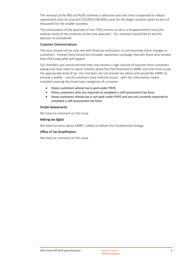The removal of the R85 and R105 schemes is welcome and over time is expected to reduce operational costs by around £150,000-£180,000 a year for the larger societies down to tens of thousands for the smaller societies.

The continuation of the payment of non-TDSI interest as net is a disappointment since this reduces some of the simplicity of the new approach. Our members would like to see the decision re-considered.

#### Customer Communications

The onus should not be only rest with financial institutions to communicate these changes to customers. Instead there should be a broader awareness campaign that lets those who exceed their PSA know what will happen.

Our members are concerned that they may receive a high volume of inquiries from customers asking how they need to report interest above the PSA threshold to HMRC and then how to pay the appropriate level of tax. Our members do not provide tax advice and would like HMRC to provide a leaflet – not all customers have internet access - with this information clearly included covering the three main categories of customer:

- those customers whose tax is paid under PAYE.
- those customers who are required to complete a self-assessment tax form.
- those customers whose tax is not paid under PAYE and are not currently required to complete a self-assessment tax form.

#### Simple Assessments

We have no comment on this issue.

#### Making tax digital

We have concerns about HMRC's ability to deliver this fundamental change.

#### Office of Tax Simplification

We have no comment on this issue.